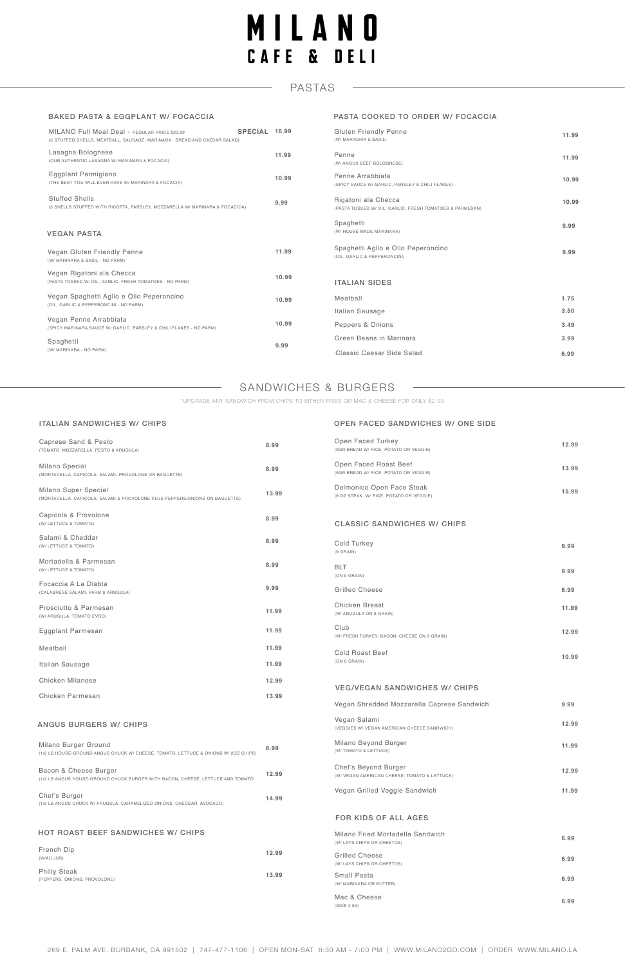# SANDWICHES & BURGERS

#### ITALIAN SANDWICHES W/ CHIPS

| Caprese Sand & Pesto<br>(TOMATO, MOZZARELLA, PESTO & ARUGULA)                                      | 8.99  | Open Faced Turkey<br>(9GR BREAD W/ RICE, POTATO OR VEGGIE)           | 12.99 |
|----------------------------------------------------------------------------------------------------|-------|----------------------------------------------------------------------|-------|
| Milano Special<br>(MORTADELLA, CAPICOLA, SALAMI, PROVOLONE ON BAGUETTE)                            | 8.99  | Open Faced Roast Beef<br>(9GR BREAD W/ RICE, POTATO OR VEGGIE)       | 13.99 |
| Milano Super Special<br>(MORTADELLA, CAPICOLA, SALAMI & PROVOLONE PLUS PEPPERS/ONIONS ON BAGUETTE) | 13.99 | Delmonico Open Face Steak<br>(6 OZ STEAK, W/ RICE, POTATO OR VEGGIE) | 15.99 |
| Capicola & Provolone<br>(W/ LETTUCE & TOMATO)                                                      | 8.99  | <b>CLASSIC SANDWICHES W/ CHIPS</b>                                   |       |

| Salami & Cheddar<br>(W/ LETTUCE & TOMATO)                                                                  | 8.99  | Cold<br>(9 GRA)      |
|------------------------------------------------------------------------------------------------------------|-------|----------------------|
| Mortadella & Parmesan<br>(W/ LETTUCE & TOMATO)                                                             | 8.99  | <b>BLT</b><br>(ON 9) |
| Focaccia A La Diabla<br>(CALABRESE SALAMI, PARM & ARUGULA)                                                 | 9.99  | Grill                |
| Prosciutto & Parmesan<br>(W/ ARUGULA, TOMATO EVOO)                                                         | 11.99 | Chic<br>(W/AR        |
| Eggplant Parmesan                                                                                          | 11.99 | Club<br>(W/FR        |
| Meatball                                                                                                   | 11.99 | Cold                 |
| Italian Sausage                                                                                            | 11.99 | (ON 9)               |
| <b>Chicken Milanese</b>                                                                                    | 12.99 |                      |
| Chicken Parmesan                                                                                           | 13.99 | VEC                  |
|                                                                                                            |       | Vega                 |
| <b>ANGUS BURGERS W/ CHIPS</b>                                                                              |       | Vega<br>(VEGG)       |
| Milano Burger Ground<br>(1/2 LB HOUSE-GROUND ANGUS CHUCK W/ CHEESE, TOMATO, LETTUCE & ONIONS W/ 2OZ CHIPS) | 8.99  | Milar<br>(W/TO       |
| Bacon & Cheese Burger<br>(1/2 LB ANGUS HOUSE-GROUND CHUCK BURGER WITH BACON, CHEESE, LETTUCE AND TOMATO.   | 12.99 | Chef<br>(W/VE        |
| Chef's Burger<br>(1/2 LB ANGUS CHUCK W/ ARUGULA, CARAMELIZED ONIONS, CHEDDAR, AVOCADO)                     | 14.99 | Vega                 |
|                                                                                                            |       | <b>FOF</b>           |
| <b>HOT ROAST BEEF SANDWICHES W/ CHIPS</b>                                                                  |       | Milar<br>(W/LA)      |
| French Dip<br>(W/AU JUS)                                                                                   | 12.99 | Grill<br>(W / LA)    |
| <b>Philly Steak</b><br>(PEPPERS, ONIONS, PROVOLONE)                                                        | 13.99 | Sma<br>(W/MA         |
|                                                                                                            |       | Mac<br>CIDF          |

#### OPEN FACED SANDWICHES W/ ONE SIDE

| Cold Turkey<br>$(9$ GRAIN)                                           | 9.99  |
|----------------------------------------------------------------------|-------|
| <b>BLT</b><br>(ON 9 GRAIN)                                           | 9.99  |
| <b>Grilled Cheese</b>                                                | 6.99  |
| <b>Chicken Breast</b><br>(W/ ARUGULA ON 9 GRAIN)                     | 11.99 |
| Club<br>(W/ FRESH TURKEY, BACON, CHEESE ON 9 GRAIN)                  | 12.99 |
| <b>Cold Roast Beef</b><br>(ON 9 GRAIN)                               | 10.99 |
| <b>VEG/VEGAN SANDWICHES W/ CHIPS</b>                                 |       |
| Vegan Shredded Mozzarella Caprese Sandwich                           | 9.99  |
| Vegan Salami<br>(VEGGIES W/ VEGAN AMERICAN CHEESE SANDWICH)          | 12.99 |
| Milano Beyond Burger<br>(W/ TOMATO & LETTUCE)                        | 11.99 |
| Chef's Beyond Burger<br>(W/ VEGAN AMERICAN CHEESE, TOMATO & LETTUCE) | 12.99 |
| Vegan Grilled Veggie Sandwich                                        | 11.99 |
| <b>FOR KIDS OF ALL AGES</b>                                          |       |
| Milano Fried Mortadella Sandwich<br>(W/ LAYS CHIPS OR CHEETOS)       | 6.99  |
| <b>Grilled Cheese</b><br>(W/ LAYS CHIPS OR CHEETOS)                  | 6.99  |
| <b>Small Pasta</b><br>(W/ MARINARA OR BUTTER)                        | 6.99  |
| Mac & Cheese<br>(SIDE 3.99)                                          | 6.99  |

# PASTAS

#### BAKED PASTA & EGGPLANT W/ FOCACCIA

| MILANO Full Meal Deal - REGULAR PRICE \$23.99<br>(3 STUFFED SHELLS, MEATBALL, SAUSAGE, MARINARA, BREAD AND CAESAR SALAD) | SPECIAL 16.99 |       | <b>Gluten Friendly Pe</b><br>(W/ MARINARA & BASIL) |
|--------------------------------------------------------------------------------------------------------------------------|---------------|-------|----------------------------------------------------|
| Lasagna Bolognese<br>(OUR AUTHENTIC LASAGNA W/ MARINARA & FOCACIA)                                                       |               | 11.99 | Penne<br>(W/ ANGUS BEEF BOLOGNE                    |
| Eggplant Parmigiano<br>(THE BEST YOU WILL EVER HAVE W/ MARINARA & FOCACIA)                                               |               | 10.99 | Penne Arrabbiata<br>(SPICY SAUCE W/ GARLIC, F      |
| <b>Stuffed Shells</b><br>(3 SHELLS STUFFED WITH RICOTTA, PARSLEY, MOZZARELLA W/ MARINARA & FOCACCIA)                     |               | 9.99  | Rigatoni ala Checc<br>(PASTA TOSSED W/ OIL, GAI    |
| <b>VEGAN PASTA</b>                                                                                                       |               |       | Spaghetti<br>(W/ HOUSE MADE MARINAR                |
| Vegan Gluten Friendly Penne<br>(W/ MARINARA & BASIL - NO PARM)                                                           |               | 11.99 | Spaghetti Aglio e C<br>(OIL, GARLIC & PEPPERONO    |
| Vegan Rigatoni ala Checca<br>(PASTA TOSSED W/ OIL, GARLIC, FRESH TOMATOES - NO PARM)                                     |               | 10.99 | <b>ITALIAN SIDES</b>                               |
| Vegan Spaghetti Aglio e Olio Peperoncino<br>(OIL, GARLIC & PEPPERONCINI - NO PARM)                                       |               | 10.99 | Meatball                                           |
|                                                                                                                          |               |       | Italian Sausage                                    |
| Vegan Penne Arrabbiata<br>(SPICY MARINARA SAUCE W/ GARLIC, PARSLEY & CHILI FLAKES - NO PARM)                             |               | 10.99 | Peppers & Onions                                   |
| Spaghetti                                                                                                                |               | 9.99  | Green Beans in Ma                                  |
| (W/ MARINARA - NO PARM)                                                                                                  |               |       | <b>Classic Caesar Sic</b>                          |

 $\frac{1}{2}$ 

#### PASTA COOKED TO ORDER W/ FOCACCIA

| 11.99 |
|-------|
| 11.99 |
| 10.99 |
| 10.99 |
| 9.99  |
| 9.99  |
|       |
| 1.75  |
| 3.50  |
| 3.49  |
| 3.99  |
| 6.99  |
|       |

\*UPGRADE ANY SANDWICH FROM CHIPS TO EITHER FRIES OR MAC & CHEESE FOR ONLY \$2.99

# MILANO CAFE & DELI